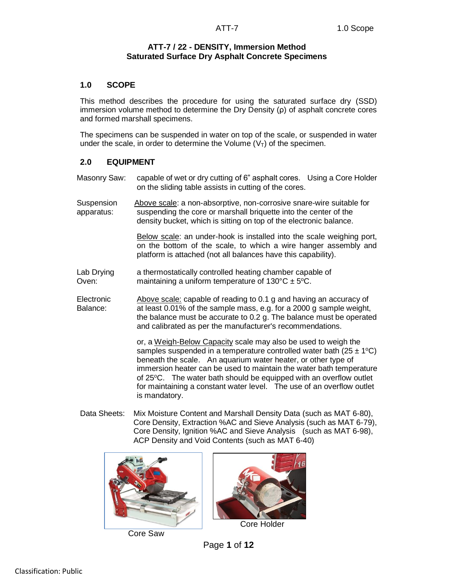## **ATT-7 / 22 - DENSITY, Immersion Method Saturated Surface Dry Asphalt Concrete Specimens**

### **1.0 SCOPE**

This method describes the procedure for using the saturated surface dry (SSD) immersion volume method to determine the Dry Density (ρ) of asphalt concrete cores and formed marshall specimens.

The specimens can be suspended in water on top of the scale, or suspended in water under the scale, in order to determine the Volume  $(V<sub>T</sub>)$  of the specimen.

## **2.0 EQUIPMENT**

Masonry Saw: capable of wet or dry cutting of 6" asphalt cores. Using a Core Holder on the sliding table assists in cutting of the cores.

Suspension Above scale: a non-absorptive, non-corrosive snare-wire suitable for apparatus: suspending the core or marshall briquette into the center of the density bucket, which is sitting on top of the electronic balance.

> Below scale: an under-hook is installed into the scale weighing port, on the bottom of the scale, to which a wire hanger assembly and platform is attached (not all balances have this capability).

Lab Drying a thermostatically controlled heating chamber capable of Oven: maintaining a uniform temperature of  $130^{\circ}C \pm 5^{\circ}C$ .

Electronic Above scale: capable of reading to 0.1 g and having an accuracy of Balance: at least 0.01% of the sample mass, e.g. for a 2000 g sample weight, the balance must be accurate to 0.2 g. The balance must be operated and calibrated as per the manufacturer's recommendations.

> or, a Weigh-Below Capacity scale may also be used to weigh the samples suspended in a temperature controlled water bath ( $25 \pm 1$ °C) beneath the scale. An aquarium water heater, or other type of immersion heater can be used to maintain the water bath temperature of  $25^{\circ}$ C. The water bath should be equipped with an overflow outlet for maintaining a constant water level. The use of an overflow outlet is mandatory.

Data Sheets: Mix Moisture Content and Marshall Density Data (such as MAT 6-80), Core Density, Extraction %AC and Sieve Analysis (such as MAT 6-79), Core Density, Ignition %AC and Sieve Analysis (such as MAT 6-98), ACP Density and Void Contents (such as MAT 6-40)



Core Saw



Core Holder

Page **1** of **12**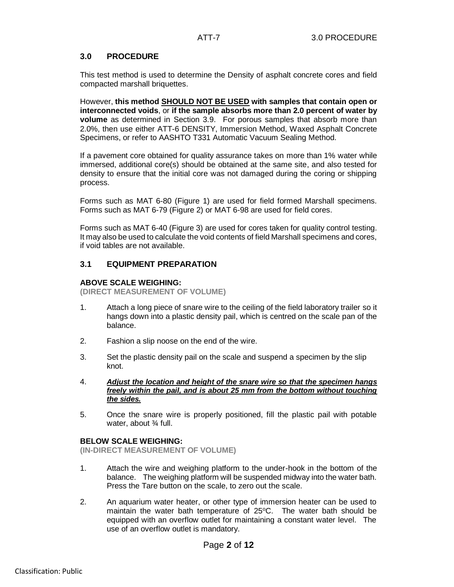## **3.0 PROCEDURE**

This test method is used to determine the Density of asphalt concrete cores and field compacted marshall briquettes.

However, **this method SHOULD NOT BE USED with samples that contain open or interconnected voids**, or **if the sample absorbs more than 2.0 percent of water by volume** as determined in Section 3.9. For porous samples that absorb more than 2.0%, then use either ATT-6 DENSITY, Immersion Method, Waxed Asphalt Concrete Specimens, or refer to AASHTO T331 Automatic Vacuum Sealing Method.

If a pavement core obtained for quality assurance takes on more than 1% water while immersed, additional core(s) should be obtained at the same site, and also tested for density to ensure that the initial core was not damaged during the coring or shipping process.

Forms such as MAT 6-80 (Figure 1) are used for field formed Marshall specimens. Forms such as MAT 6-79 (Figure 2) or MAT 6-98 are used for field cores.

Forms such as MAT 6-40 (Figure 3) are used for cores taken for quality control testing. It may also be used to calculate the void contents of field Marshall specimens and cores, if void tables are not available.

## **3.1 EQUIPMENT PREPARATION**

#### **ABOVE SCALE WEIGHING:**

**(DIRECT MEASUREMENT OF VOLUME)**

- 1. Attach a long piece of snare wire to the ceiling of the field laboratory trailer so it hangs down into a plastic density pail, which is centred on the scale pan of the balance.
- 2. Fashion a slip noose on the end of the wire.
- 3. Set the plastic density pail on the scale and suspend a specimen by the slip knot.
- 4. *Adjust the location and height of the snare wire so that the specimen hangs freely within the pail, and is about 25 mm from the bottom without touching the sides.*
- 5. Once the snare wire is properly positioned, fill the plastic pail with potable water, about ¾ full.

#### **BELOW SCALE WEIGHING:**

**(IN-DIRECT MEASUREMENT OF VOLUME)**

- 1. Attach the wire and weighing platform to the under-hook in the bottom of the balance. The weighing platform will be suspended midway into the water bath. Press the Tare button on the scale, to zero out the scale.
- 2. An aquarium water heater, or other type of immersion heater can be used to maintain the water bath temperature of  $25^{\circ}$ C. The water bath should be equipped with an overflow outlet for maintaining a constant water level. The use of an overflow outlet is mandatory.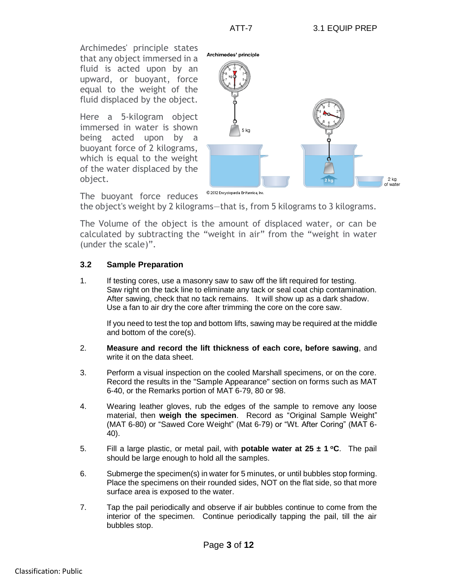Archimedes' principle states that any object immersed in a fluid is acted upon by an upward, or buoyant, force equal to the weight of the fluid displaced by the object.

Here a 5-kilogram object immersed in water is shown being acted upon by a buoyant force of 2 kilograms, which is equal to the weight of the water displaced by the object.



© 2012 Encyclopædia Britannica, Inc. The buoyant force reduces

the object's weight by 2 kilograms—that is, from 5 kilograms to 3 kilograms.

The Volume of the object is the amount of displaced water, or can be calculated by subtracting the "weight in air" from the "weight in water (under the scale)".

## **3.2 Sample Preparation**

1. If testing cores, use a masonry saw to saw off the lift required for testing. Saw right on the tack line to eliminate any tack or seal coat chip contamination. After sawing, check that no tack remains. It will show up as a dark shadow. Use a fan to air dry the core after trimming the core on the core saw.

If you need to test the top and bottom lifts, sawing may be required at the middle and bottom of the core(s).

- 2. **Measure and record the lift thickness of each core, before sawing**, and write it on the data sheet.
- 3. Perform a visual inspection on the cooled Marshall specimens, or on the core. Record the results in the "Sample Appearance" section on forms such as MAT 6-40, or the Remarks portion of MAT 6-79, 80 or 98.
- 4. Wearing leather gloves, rub the edges of the sample to remove any loose material, then **weigh the specimen**. Record as "Original Sample Weight" (MAT 6-80) or "Sawed Core Weight" (Mat 6-79) or "Wt. After Coring" (MAT 6- 40).
- 5. Fill a large plastic, or metal pail, with **potable water at 25 ± 1 <sup>o</sup>C**. The pail should be large enough to hold all the samples.
- 6. Submerge the specimen(s) in water for 5 minutes, or until bubbles stop forming. Place the specimens on their rounded sides, NOT on the flat side, so that more surface area is exposed to the water.
- 7. Tap the pail periodically and observe if air bubbles continue to come from the interior of the specimen. Continue periodically tapping the pail, till the air bubbles stop.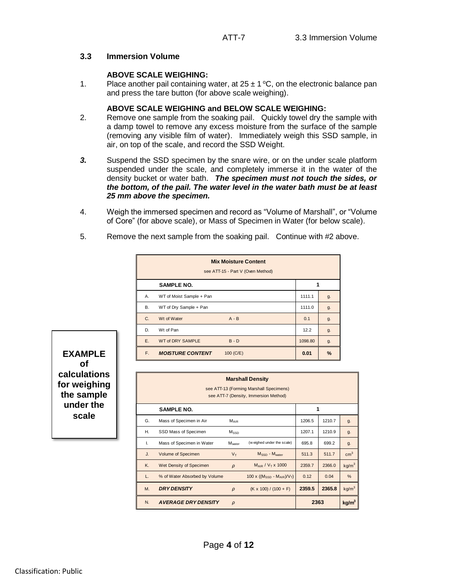### **3.3 Immersion Volume**

## **ABOVE SCALE WEIGHING:**

1. Place another pail containing water, at  $25 \pm 1$  °C, on the electronic balance pan and press the tare button (for above scale weighing).

#### **ABOVE SCALE WEIGHING and BELOW SCALE WEIGHING:**

- 2. Remove one sample from the soaking pail. Quickly towel dry the sample with a damp towel to remove any excess moisture from the surface of the sample (removing any visible film of water). Immediately weigh this SSD sample, in air, on top of the scale, and record the SSD Weight.
- *3.* Suspend the SSD specimen by the snare wire, or on the under scale platform suspended under the scale, and completely immerse it in the water of the density bucket or water bath. *The specimen must not touch the sides, or the bottom, of the pail. The water level in the water bath must be at least 25 mm above the specimen.*
- 4. Weigh the immersed specimen and record as "Volume of Marshall", or "Volume of Core" (for above scale), or Mass of Specimen in Water (for below scale).
- 5. Remove the next sample from the soaking pail. Continue with #2 above.

|    | <b>Mix Moisture Content</b><br>see ATT-15 - Part V (Oven Method) |         |               |
|----|------------------------------------------------------------------|---------|---------------|
|    | <b>SAMPLE NO.</b>                                                |         |               |
| Α. | WT of Moist Sample + Pan                                         | 1111.1  | g.            |
| В. | WT of Dry Sample + Pan                                           | 1111.0  | g.            |
| C. | Wt of Water<br>$A - B$                                           | 0.1     | g.            |
| D. | Wt of Pan                                                        | 12.2    | g.            |
| E. | <b>WT of DRY SAMPLE</b><br>$B - D$                               | 1098.80 | g.            |
| F. | <b>MOISTURE CONTENT</b><br>100 (C/E)                             | 0.01    | $\frac{9}{6}$ |

**EXAMPLE of calculations for weighing the sample under the scale**

|    |                               |                    | <b>Marshall Density</b><br>see ATT-13 (Forming Marshall Specimens)<br>see ATT-7 (Density, Immersion Method) |        |        |                   |
|----|-------------------------------|--------------------|-------------------------------------------------------------------------------------------------------------|--------|--------|-------------------|
|    | <b>SAMPLE NO.</b>             |                    |                                                                                                             | 1      |        |                   |
| G. | Mass of Specimen in Air       | $M_{AIR}$          |                                                                                                             | 1206.5 | 1210.7 | g.                |
| Η. | SSD Mass of Specimen          | Mssn               |                                                                                                             | 1207.1 | 1210.9 | g.                |
| I. | Mass of Specimen in Water     | M <sub>water</sub> | (weighed under the scale)                                                                                   | 695.8  | 699.2  | g.                |
| J. | Volume of Specimen            | $V_T$              | M <sub>SSD</sub> - M <sub>water</sub>                                                                       | 511.3  | 511.7  | $\text{cm}^3$     |
| K. | Wet Density of Specimen       | $\rho$             | M <sub>AIR</sub> / V <sub>T</sub> x 1000                                                                    | 2359.7 | 2366.0 | kg/m <sup>3</sup> |
| L. | % of Water Absorbed by Volume |                    | 100 x ( $(M_{SSD} - M_{AIR})/V_T$ )                                                                         | 0.12   | 0.04   | %                 |
| M. | <b>DRY DENSITY</b>            | $\rho$             | $(K \times 100) / (100 + F)$                                                                                | 2359.5 | 2365.8 | kg/m <sup>3</sup> |
| N. | <b>AVERAGE DRY DENSITY</b>    | $\rho$             |                                                                                                             | 2363   |        | kg/m <sup>3</sup> |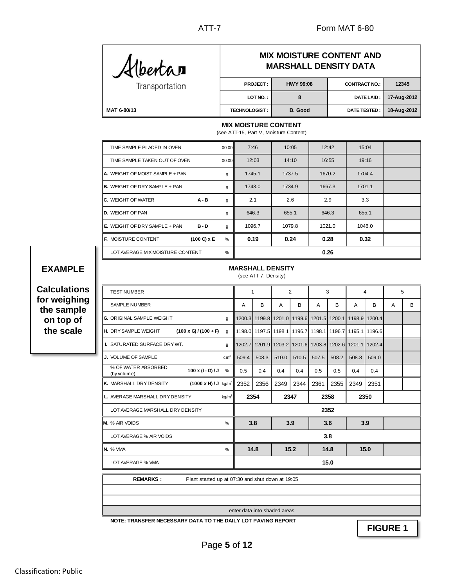**12345 17-Aug-2012 18-Aug-2012**

| <i>K</i> lbertar |                      | <b>MIX MOISTURE CONTENT AND</b><br><b>MARSHALL DENSITY DATA</b> |                      |
|------------------|----------------------|-----------------------------------------------------------------|----------------------|
| Transportation   | <b>PROJECT:</b>      | <b>HWY 99:08</b>                                                | <b>CONTRACT NO.:</b> |
|                  | LOT NO.:             | 8                                                               | DATE LAID:           |
| MAT 6-80/13      | <b>TECHNOLOGIST:</b> | B. Good                                                         | DATE TESTED :        |

#### **MIX MOISTURE CONTENT**

(see ATT-15, Part V, Moisture Content)

| TIME SAMPLE PLACED IN OVEN             |                    | 00:00 | 7:46   | 10:05  | 12:42  | 15:04  |  |
|----------------------------------------|--------------------|-------|--------|--------|--------|--------|--|
| TIME SAMPLE TAKEN OUT OF OVEN          |                    | 00:00 | 12:03  | 14:10  | 16:55  | 19:16  |  |
| <b>A.</b> WEIGHT OF MOIST SAMPLE + PAN |                    | g     | 1745.1 | 1737.5 | 1670.2 | 1704.4 |  |
| <b>B.</b> WEIGHT OF DRY SAMPLE + PAN   |                    | g     | 1743.0 | 1734.9 | 1667.3 | 1701.1 |  |
| <b>C.</b> WEIGHT OF WATER              | A - B              | g     | 2.1    | 2.6    | 2.9    | 3.3    |  |
| <b>D.</b> WEIGHT OF PAN                |                    | g     | 646.3  | 655.1  | 646.3  | 655.1  |  |
| <b>E.</b> WEIGHT OF DRY SAMPLE + PAN   | $B - D$            | g     | 1096.7 | 1079.8 | 1021.0 | 1046.0 |  |
| <b>IF. MOISTURE CONTENT</b>            | $(100 C) \times E$ | %     | 0.19   | 0.24   | 0.28   | 0.32   |  |
| LOT AVERAGE MIX MOISTURE CONTENT       |                    | %     |        |        | 0.26   |        |  |

# **EXAMPLE**

**Calculations for weighing the sample on top of the scale**

|  |  |  |  | <b>MARSHALL DENSITY</b> |
|--|--|--|--|-------------------------|
|  |  |  |  |                         |

(see ATT-7, Density)

| <b>TEST NUMBER</b>                                               |               | $\mathbf{1}$ |       | 2                                                                     |       | 3     |       | 4     |       | 5 |   |
|------------------------------------------------------------------|---------------|--------------|-------|-----------------------------------------------------------------------|-------|-------|-------|-------|-------|---|---|
| SAMPLE NUMBER                                                    |               | A            | в     | A                                                                     | B     | A     | B     | A     | в     | A | B |
| <b>G. ORIGINAL SAMPLE WEIGHT</b>                                 | g             |              |       | 1200.3 1199.8 1201.0 1199.6 1201.5 1200.1 1198.9 1200.4               |       |       |       |       |       |   |   |
| $(100 \times G)/(100 + F)$<br>H. DRY SAMPLE WEIGHT               | q             |              |       | 1198.0 1197.5 1198.1 1196.7 1198.1 1196.7 1195.1 1196.6               |       |       |       |       |       |   |   |
| <b>I. SATURATED SURFACE DRY WT.</b>                              | q             |              |       | 1202.7   1201.9   1203.2   1201.6   1203.8   1202.6   1201.1   1202.4 |       |       |       |       |       |   |   |
| J. VOLUME OF SAMPLE                                              | $\text{cm}^3$ | 509.4        | 508.3 | 510.0                                                                 | 510.5 | 507.5 | 508.2 | 508.8 | 509.0 |   |   |
| % OF WATER ABSORBED<br>100 x (I - G) / J<br>(by volume)          | %             | 0.5          | 0.4   | 0.4                                                                   | 0.4   | 0.5   | 0.5   | 0.4   | 0.4   |   |   |
| K. MARSHALL DRY DENSITY<br>$(1000 \times H)/J$ kg/m <sup>3</sup> |               | 2352         | 2356  | 2349                                                                  | 2344  | 2361  | 2355  | 2349  | 2351  |   |   |
| L. AVERAGE MARSHALL DRY DENSITY                                  | $kq/m^3$      |              | 2354  | 2347                                                                  |       | 2358  |       | 2350  |       |   |   |
| LOT AVERAGE MARSHALL DRY DENSITY                                 |               |              |       |                                                                       |       | 2352  |       |       |       |   |   |
| M. % AIR VOIDS                                                   | $\%$          | 3.8          |       | 3.9                                                                   |       | 3.6   |       | 3.9   |       |   |   |
| LOT AVERAGE % AIR VOIDS                                          |               |              |       |                                                                       |       |       | 3.8   |       |       |   |   |
| <b>N.</b> % VMA                                                  | %             |              | 14.8  |                                                                       | 15.2  | 14.8  |       |       | 15.0  |   |   |
| LOT AVERAGE % VMA                                                |               |              |       |                                                                       |       |       | 15.0  |       |       |   |   |

Plant started up at 07:30 and shut down at 19:05 **REMARKS :**

enter data into shaded areas

**NOTE: TRANSFER NECESSARY DATA TO THE DAILY LOT PAVING REPORT**

**FIGURE 1**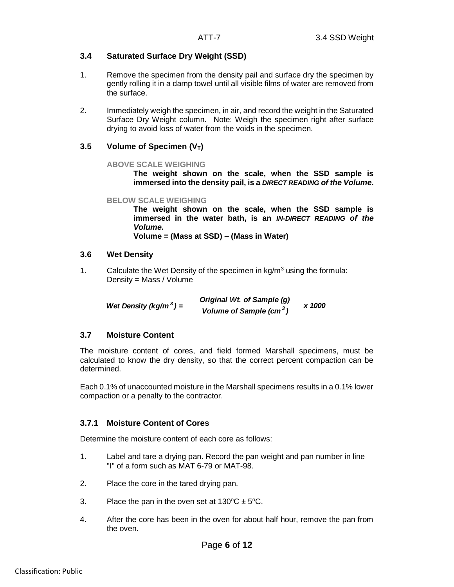## **3.4 Saturated Surface Dry Weight (SSD)**

- 1. Remove the specimen from the density pail and surface dry the specimen by gently rolling it in a damp towel until all visible films of water are removed from the surface.
- 2. Immediately weigh the specimen, in air, and record the weight in the Saturated Surface Dry Weight column. Note: Weigh the specimen right after surface drying to avoid loss of water from the voids in the specimen.

## **3.5 Volume of Specimen (VT)**

### **ABOVE SCALE WEIGHING**

**The weight shown on the scale, when the SSD sample is immersed into the density pail, is a** *DIRECT READING of the Volume***.**

#### **BELOW SCALE WEIGHING**

**The weight shown on the scale, when the SSD sample is immersed in the water bath, is an** *IN-DIRECT READING of the Volume***.** 

**Volume = (Mass at SSD) – (Mass in Water)**

### **3.6 Wet Density**

1. Calculate the Wet Density of the specimen in  $kg/m<sup>3</sup>$  using the formula: Density = Mass / Volume

*Wet Density (kg/m<sup>3</sup>)* =  $\frac{Original Wt. of Sample (g)}{Wt. (g) + 2}$  x 1000 *Volume of Sample (cm <sup>3</sup> )*

## **3.7 Moisture Content**

The moisture content of cores, and field formed Marshall specimens, must be calculated to know the dry density, so that the correct percent compaction can be determined.

Each 0.1% of unaccounted moisture in the Marshall specimens results in a 0.1% lower compaction or a penalty to the contractor.

## **3.7.1 Moisture Content of Cores**

Determine the moisture content of each core as follows:

- 1. Label and tare a drying pan. Record the pan weight and pan number in line "I" of a form such as MAT 6-79 or MAT-98.
- 2. Place the core in the tared drying pan.
- 3. Place the pan in the oven set at  $130^{\circ}C \pm 5^{\circ}C$ .
- 4. After the core has been in the oven for about half hour, remove the pan from the oven.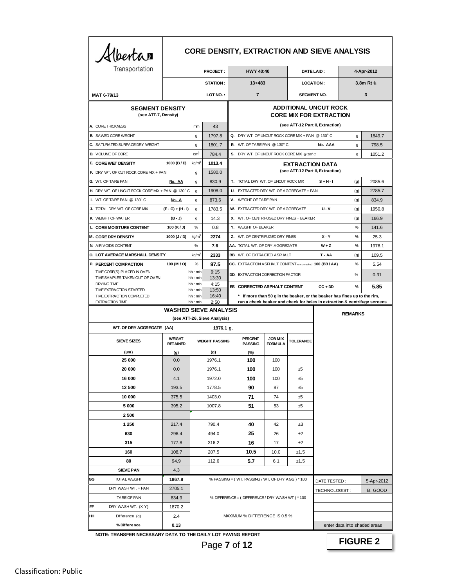| Albertan                                            |                                  |                    |                              | <b>CORE DENSITY, EXTRACTION AND SIEVE ANALYSIS</b>       |                                   |                        |                                                                                                                                                      |                              |            |
|-----------------------------------------------------|----------------------------------|--------------------|------------------------------|----------------------------------------------------------|-----------------------------------|------------------------|------------------------------------------------------------------------------------------------------------------------------------------------------|------------------------------|------------|
| Transportation                                      |                                  |                    | <b>PROJECT:</b>              | <b>HWY 40:40</b>                                         |                                   |                        | DATE LAID:                                                                                                                                           |                              | 4-Apr-2012 |
|                                                     |                                  |                    | STATION:                     | $13 + 483$                                               |                                   | <b>LOCATION:</b>       |                                                                                                                                                      |                              | 3.8m Rt &  |
| MAT 6-79/13                                         |                                  |                    | LOT NO.:                     | $\overline{7}$                                           |                                   | <b>SEGMENT NO.</b>     |                                                                                                                                                      |                              | 3          |
|                                                     |                                  |                    |                              |                                                          |                                   |                        | <b>ADDITIONAL UNCUT ROCK</b>                                                                                                                         |                              |            |
| <b>SEGMENT DENSITY</b><br>(see ATT-7, Density)      |                                  |                    |                              |                                                          |                                   |                        | <b>CORE MIX FOR EXTRACTION</b>                                                                                                                       |                              |            |
| A. CORE THICKNESS                                   |                                  | mm                 | 43                           |                                                          |                                   |                        | (see ATT-12 Part II, Extraction)                                                                                                                     |                              |            |
| <b>B.</b> SAWED CORE WEIGHT                         |                                  | g                  | 1797.8                       | Q. DRY WT. OF UNCUT ROCK CORE MIX + PAN @ 130°C          |                                   |                        |                                                                                                                                                      | g                            | 1849.7     |
| C. SATURATED SURFACE DRY WEIGHT                     |                                  | g                  | 1801.7                       | <b>R.</b> WT. OF TARE PAN @ 130°C                        |                                   |                        | No. AAA                                                                                                                                              | g                            | 798.5      |
| <b>D.</b> VOLUME OF CORE                            |                                  | $\text{cm}^3$      | 784.4                        | S. DRY WT. OF UNCUT ROCK CORE MIX @ 130°C                |                                   |                        |                                                                                                                                                      | g                            | 1051.2     |
| E. CORE WET DENSITY                                 | 1000 (B/D)                       | kg/m <sup>3</sup>  | 1013.4                       |                                                          |                                   | <b>EXTRACTION DATA</b> |                                                                                                                                                      |                              |            |
| F. DRY WT. OF CUT ROCK CORE MIX + PAN               |                                  | g                  | 1580.0                       |                                                          |                                   |                        | (see ATT-12 Part II, Extraction)                                                                                                                     |                              |            |
| G. WT. OF TARE PAN                                  | No. AA                           | g                  | 830.9                        | T. TOTAL DRY WT. OF UNCUT ROCK MIX                       |                                   |                        | $S + H - I$                                                                                                                                          | (g)                          | 2085.6     |
| H. DRY WT. OF UNCUT ROCK CORE MIX + PAN @ 130°C     |                                  | $\mathbf{g}$       | 1908.0                       | U. EXTRACTED DRY WT. OF AGGREGATE + PAN                  |                                   |                        |                                                                                                                                                      | (g)                          | 2785.7     |
| I. WT. OF TARE PAN @ 130°C                          | <u>No. A</u>                     | g                  | 873.6                        | V. WEIGHT OF TARE PAN                                    |                                   |                        |                                                                                                                                                      | (g)                          | 834.9      |
| J. TOTAL DRY WT. OF CORE MIX                        | $(F - G) + (H - I)$              | g                  | 1783.5                       | W. EXTRACTED DRY WT. OF AGGREGATE                        |                                   |                        | $U - V$                                                                                                                                              | (g)                          | 1950.8     |
| K. WEIGHT OF WATER                                  | $(B-J)$                          | g                  | 14.3                         | X. WT. OF CENTRIFUGED DRY FINES + BEAKER                 |                                   |                        |                                                                                                                                                      | (g)                          | 166.9      |
| L. CORE MOISTURE CONTENT                            | 100 $(K/J)$                      | %                  | 0.8                          | Y. WEIGHT OF BEAKER                                      |                                   |                        |                                                                                                                                                      | %                            | 141.6      |
| <b>M. CORE DRY DENSITY</b>                          | 1000 $(J / D)$                   | kg/m <sup>3</sup>  | 2274                         | Z. WT. OF CENTRIFUGED DRY FINES                          |                                   |                        | $X - Y$                                                                                                                                              | $\%$                         | 25.3       |
| N. AIR VOIDS CONTENT                                |                                  | %                  | 7.6                          | AA. TOTAL WT. OF DRY AGGREGATE                           |                                   |                        | W + Z                                                                                                                                                | $\%$                         | 1976.1     |
| O. LOT AVERAGE MARSHALL DENSITY                     |                                  | kq/m <sup>3</sup>  | 2333                         | <b>BB.</b> WT. OF EXTRACTED ASPHALT                      |                                   |                        | T - AA                                                                                                                                               | (g)                          | 109.5      |
| P. PERCENT COMPACTION                               | 100 (M / O)                      | %                  | 97.5                         | CC. EXTRACTION ASPHALT CONTENT uncorrected 100 (BB / AA) |                                   |                        |                                                                                                                                                      | %                            | 5.54       |
| TIME CORE(S) PLACED IN OVEN                         |                                  | hh: min            | 9:15                         | <b>DD. EXTRACTION CORRECTION FACTOR</b>                  |                                   |                        |                                                                                                                                                      | %                            | 0.31       |
| TIME SAMPLES TAKEN OUT OF OVEN<br>DRYING TIME       |                                  | hh: min<br>hh: min | 13:30<br>4:15                |                                                          |                                   |                        |                                                                                                                                                      |                              |            |
| TIME EXTRACTION STARTED                             |                                  | hh: min            | 13:50                        | EE CORRECTED ASPHALT CONTENT                             |                                   |                        | $CC + DD$                                                                                                                                            | $\%$                         | 5.85       |
| TIME EXTRACTION COMPLETED<br><b>EXTRACTION TIME</b> |                                  | hh: min<br>hh: min | 16:40<br>2:50                |                                                          |                                   |                        | If more than 50 g in the beaker, or the beaker has fines up to the rim,<br>run a check beaker and check for holes in extraction & centrifuge screens |                              |            |
|                                                     | <b>WASHED SIEVE ANALYSIS</b>     |                    |                              |                                                          |                                   |                        |                                                                                                                                                      | <b>REMARKS</b>               |            |
|                                                     |                                  |                    | (see ATT-26, Sieve Analysis) |                                                          |                                   |                        |                                                                                                                                                      |                              |            |
| WT. OF DRY AGGREGATE (AA)                           |                                  |                    | 1976.1 g.                    |                                                          |                                   |                        |                                                                                                                                                      |                              |            |
| <b>SIEVE SIZES</b>                                  | <b>WEIGHT</b><br><b>RETAINED</b> |                    | <b>WEIGHT PASSING</b>        | <b>PERCENT</b><br><b>PASSING</b>                         | <b>JOB MIX</b><br><b>FORM ULA</b> | <b>TOLERANCE</b>       |                                                                                                                                                      |                              |            |
| $(\mu m)$                                           | (g)                              |                    | (g)                          | (%)                                                      |                                   |                        |                                                                                                                                                      |                              |            |
| 25 000                                              | 0.0                              |                    | 1976.1                       | 100                                                      | 100                               |                        |                                                                                                                                                      |                              |            |
| 20 000                                              | 0.0                              |                    | 1976.1                       | 100                                                      | 100                               | ±5                     |                                                                                                                                                      |                              |            |
| 16 000                                              | 4.1                              |                    | 1972.0                       | 100                                                      | 100                               | ±5                     |                                                                                                                                                      |                              |            |
| 12 500                                              | 193.5                            |                    | 1778.5                       | 90                                                       | 87                                | ±5                     |                                                                                                                                                      |                              |            |
| 10 000                                              | 375.5                            |                    | 1403.0                       | 71                                                       | 74                                | ±5                     |                                                                                                                                                      |                              |            |
| 5 000                                               | 395.2                            |                    | 1007.8                       | 51                                                       | 53                                | ±5                     |                                                                                                                                                      |                              |            |
| 2 500                                               |                                  |                    |                              |                                                          |                                   |                        |                                                                                                                                                      |                              |            |
| 1 250                                               | 217.4                            |                    | 790.4                        | 40                                                       | 42                                | ±3                     |                                                                                                                                                      |                              |            |
| 630                                                 | 296.4                            |                    | 494.0                        | 25                                                       | 26                                | ±2                     |                                                                                                                                                      |                              |            |
| 315                                                 | 177.8                            |                    | 316.2                        | 16                                                       | 17                                | ±2                     |                                                                                                                                                      |                              |            |
| 160                                                 | 108.7                            |                    | 207.5                        | 10.5                                                     | 10.0                              | ±1.5                   |                                                                                                                                                      |                              |            |
| 80                                                  | 94.9                             |                    | 112.6                        | 5.7                                                      | 6.1                               | ±1.5                   |                                                                                                                                                      |                              |            |
| <b>SIEVE PAN</b>                                    | 4.3                              |                    |                              |                                                          |                                   |                        |                                                                                                                                                      |                              |            |
| GG<br><b>TOTAL WEIGHT</b>                           | 1867.8                           |                    |                              | % PASSING = (WT. PASSING / WT. OF DRY AGG) * 100         |                                   |                        | DATE TESTED:                                                                                                                                         |                              | 5-Apr-2012 |
| DRY WASH WT. + PAN                                  | 2705.1                           |                    |                              |                                                          |                                   |                        | TECHNOLOGIST:                                                                                                                                        |                              | B. GOOD    |
| TARE OF PAN                                         | 834.9                            |                    |                              | % DIFFERENCE = (DIFFERENCE / DRY WASH WT) * 100          |                                   |                        |                                                                                                                                                      |                              |            |
| FF<br>DRY WASH WT. (X-Y)                            | 1870.2                           |                    |                              |                                                          |                                   |                        |                                                                                                                                                      |                              |            |
| HH<br>Difference (g)                                | 2.4                              |                    |                              | MAXIMUM% DIFFERENCE IS 0.5 %                             |                                   |                        |                                                                                                                                                      |                              |            |
| % Difference                                        | 0.13                             |                    |                              |                                                          |                                   |                        |                                                                                                                                                      | enter data into shaded areas |            |

**NOTE: TRANSFER NECESSARY DATA TO THE DAILY LOT PAVING REPORT**

**FIGURE 2**

Page **7** of **12**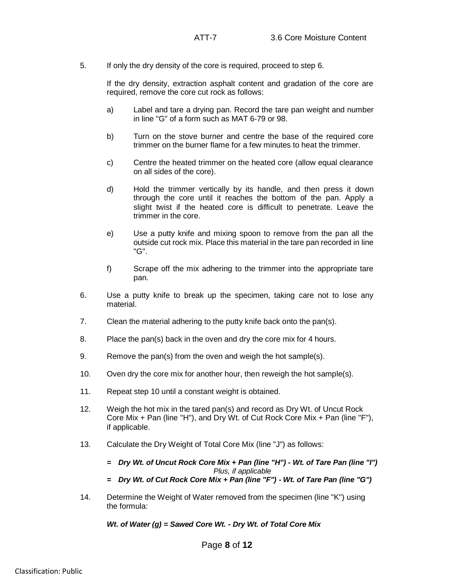5. If only the dry density of the core is required, proceed to step 6.

If the dry density, extraction asphalt content and gradation of the core are required, remove the core cut rock as follows:

- a) Label and tare a drying pan. Record the tare pan weight and number in line "G" of a form such as MAT 6-79 or 98.
- b) Turn on the stove burner and centre the base of the required core trimmer on the burner flame for a few minutes to heat the trimmer.
- c) Centre the heated trimmer on the heated core (allow equal clearance on all sides of the core).
- d) Hold the trimmer vertically by its handle, and then press it down through the core until it reaches the bottom of the pan. Apply a slight twist if the heated core is difficult to penetrate. Leave the trimmer in the core.
- e) Use a putty knife and mixing spoon to remove from the pan all the outside cut rock mix. Place this material in the tare pan recorded in line "G".
- f) Scrape off the mix adhering to the trimmer into the appropriate tare pan.
- 6. Use a putty knife to break up the specimen, taking care not to lose any material.
- 7. Clean the material adhering to the putty knife back onto the pan(s).
- 8. Place the pan(s) back in the oven and dry the core mix for 4 hours.
- 9. Remove the pan(s) from the oven and weigh the hot sample(s).
- 10. Oven dry the core mix for another hour, then reweigh the hot sample(s).
- 11. Repeat step 10 until a constant weight is obtained.
- 12. Weigh the hot mix in the tared pan(s) and record as Dry Wt. of Uncut Rock Core Mix + Pan (line "H"), and Dry Wt. of Cut Rock Core Mix + Pan (line "F"), if applicable.
- 13. Calculate the Dry Weight of Total Core Mix (line "J") as follows:
	- *= Dry Wt. of Uncut Rock Core Mix + Pan (line "H") - Wt. of Tare Pan (line "I") Plus, if applicable*
	- *= Dry Wt. of Cut Rock Core Mix + Pan (line "F") - Wt. of Tare Pan (line "G")*
- 14. Determine the Weight of Water removed from the specimen (line "K") using the formula:

*Wt. of Water (g) = Sawed Core Wt. - Dry Wt. of Total Core Mix*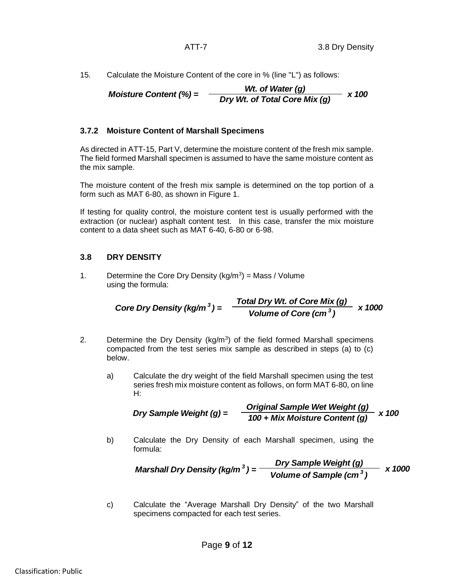15. Calculate the Moisture Content of the core in % (line "L") as follows:

*Moisture Content* (%) = 
$$
\frac{Wt. \text{ of Water (g)}}{Dry Wt. \text{ of Total Core Mix (g)}} \times 100
$$

## **3.7.2 Moisture Content of Marshall Specimens**

As directed in ATT-15, Part V, determine the moisture content of the fresh mix sample. The field formed Marshall specimen is assumed to have the same moisture content as the mix sample.

The moisture content of the fresh mix sample is determined on the top portion of a form such as MAT 6-80, as shown in Figure 1.

If testing for quality control, the moisture content test is usually performed with the extraction (or nuclear) asphalt content test. In this case, transfer the mix moisture content to a data sheet such as MAT 6-40, 6-80 or 6-98.

## **3.8 DRY DENSITY**

1. Determine the Core Dry Density ( $kg/m<sup>3</sup>$ ) = Mass / Volume using the formula:

> *Core Dry Density (kg/m<sup>3</sup>)* =  $\frac{100 \text{ m/s}}{400 \text{ m/s}} \times 1000$ *Total Dry Wt. of Core Mix (g) Volume of Core (cm <sup>3</sup> )*

- 2. Determine the Dry Density ( $kg/m<sup>3</sup>$ ) of the field formed Marshall specimens compacted from the test series mix sample as described in steps (a) to (c) below.
	- a) Calculate the dry weight of the field Marshall specimen using the test series fresh mix moisture content as follows, on form MAT 6-80, on line H:

*Dry Sample Weight (g) = Original Sample Wet Weight (g) 100 + Mix Moisture Content (g) x 100*

b) Calculate the Dry Density of each Marshall specimen, using the formula:

**Marshall Dry Density (kg/m<sup>3</sup>) =** 
$$
\frac{Dry Sample Weight (g)}{Volume of Sample (cm3)}
$$
 x 1000

c) Calculate the "Average Marshall Dry Density" of the two Marshall specimens compacted for each test series.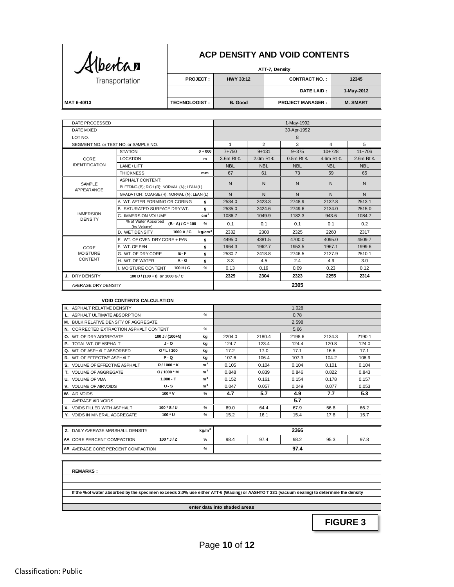| Albertan       |
|----------------|
| Transportation |

## **ACP DENSITY AND VOID CONTENTS**

| $\mathcal{A}$ (bencar |                      |                  | ATT-7, Density          |                 |
|-----------------------|----------------------|------------------|-------------------------|-----------------|
| Transportation        | <b>PROJECT:</b>      | <b>HWY 33:12</b> | <b>CONTRACT NO.:</b>    | 12345           |
|                       |                      |                  | <b>DATE LAID :</b>      | 1-May-2012      |
| MAT 6-40/13           | <b>TECHNOLOGIST:</b> | B. Good          | <b>PROJECT MANAGER:</b> | <b>M. SMART</b> |

| DATE PROCESSED                     |                                                              |            |                            | 1-May-1992     |            |                            |
|------------------------------------|--------------------------------------------------------------|------------|----------------------------|----------------|------------|----------------------------|
| DATE MIXED                         |                                                              |            |                            | 30-Apr-1992    |            |                            |
| LOT NO.                            |                                                              |            |                            | 8              |            |                            |
|                                    | SEGMENT NO. or TEST NO. or SAMPLE NO.                        | 1          | $\overline{2}$             | 3              | 4          | 5                          |
|                                    | <b>STATION</b><br>$0 + 000$                                  | $7 + 750$  | $9 + 131$                  | $9 + 375$      | $10+728$   | $11+706$                   |
| CORE                               | <b>LOCATION</b><br>m                                         | 3.6m Rt &  | 2.0m Rt $\pmb{\mathbb{E}}$ | $0.5m$ Rt $\&$ | 4.6m Rt &  | 2.6m Rt $\pmb{\mathbb{E}}$ |
| <b>IDENTIFICATION</b>              | LANE / LIFT                                                  | <b>NBL</b> | <b>NBL</b>                 | <b>NBL</b>     | <b>NBL</b> | <b>NBL</b>                 |
|                                    | <b>THICKNESS</b><br>mm                                       | 67         | 61                         | 73             | 59         | 65                         |
| SAMPLE                             | <b>ASPHALT CONTENT:</b>                                      | N          | N                          | N              | N          | N                          |
| APPEARANCE                         | BLEEDING (B); RICH (R); NORMAL (N); LEAN (L)                 |            |                            |                |            |                            |
|                                    | GRADATION: COARSE (R): NORMAL (N): LEAN (L)                  | N          | N                          | N              | N          | N                          |
|                                    | A. WT. AFTER FORMING OR CORING<br>g                          | 2534.0     | 2423.3                     | 2748.9         | 2132.8     | 2513.1                     |
|                                    | <b>B. SATURATED SURFACE DRYWT.</b><br>$\mathbf{q}$           | 2535.0     | 2424.6                     | 2749.6         | 2134.0     | 2515.0                     |
| <b>IMMERSION</b><br><b>DENSITY</b> | cm <sup>3</sup><br>C. IMMERSION VOLUME                       | 1086.7     | 1049.9                     | 1182.3         | 943.6      | 1084.7                     |
|                                    | % of Water Absorbed<br>%<br>$(B - A)/C * 100$<br>(by Volume) | 0.1        | 0.1                        | 0.1            | 0.1        | 0.2                        |
|                                    | kg/cm <sup>3</sup><br>1000 A / C<br>D. WET DENSITY           | 2332       | 2308                       | 2325           | 2260       | 2317                       |
|                                    | E. WT. OF OVEN DRY CORE + PAN<br>g                           | 4495.0     | 4381.5                     | 4700.0         | 4095.0     | 4509.7                     |
| CORE                               | F. WT. OF PAN<br>g                                           | 1964.3     | 1962.7                     | 1953.5         | 1967.1     | 1999.6                     |
| <b>MOISTURE</b>                    | $E - F$<br>G. WT. OF DRYCORE<br>g                            | 2530.7     | 2418.8                     | 2746.5         | 2127.9     | 2510.1                     |
| <b>CONTENT</b>                     | $A - G$<br>H. WT. OF WATER<br>g                              | 3.3        | 4.5                        | 2.4            | 4.9        | 3.0                        |
|                                    | I. MOISTURE CONTENT<br>100 H/G<br>%                          | 0.13       | 0.19                       | 0.09           | 0.23       | 0.12                       |
| J. DRY DENSITY                     | 100 D/(100 + I) or 1000 G/C                                  | 2329       | 2304                       | 2323           | 2255       | 2314                       |
| AVERAGE DRY DENSITY                |                                                              |            |                            | 2305           |            |                            |

#### **VOID CONTENTS CALCULATION**

| K. ASPHALT RELATIVE DENSITY             |                 |                   |        |        | 1.028  |        |        |
|-----------------------------------------|-----------------|-------------------|--------|--------|--------|--------|--------|
| L. ASPHALT ULTIMATE ABSORPTION          |                 | $\frac{9}{6}$     |        |        | 0.78   |        |        |
| M. BULK RELATIVE DENSITY OF AGGREGATE   |                 |                   |        |        | 2.598  |        |        |
| N. CORRECTED EXTRACTION ASPHALT CONTENT |                 | $\frac{9}{6}$     |        |        | 5.66   |        |        |
| <b>O.</b> WT. OF DRY AGGREGATE          | 100 J / (100+N) | kg                | 2204.0 | 2180.4 | 2198.6 | 2134.3 | 2190.1 |
| <b>P. TOTAL WT. OF ASPHALT</b>          | $J - O$         | kg                | 124.7  | 123.4  | 124.4  | 120.8  | 124.0  |
| Q. WT. OF ASPHALT ABSORBED              | $O*L/100$       | kg                | 17.2   | 17.0   | 17.1   | 16.6   | 17.1   |
| R. WT. OF EFFECTIVE ASPHALT             | $P - Q$         | kg                | 107.6  | 106.4  | 107.3  | 104.2  | 106.9  |
| S. VOLUME OF EFFECTIVE ASPHALT          | R / 1000 * K    | m <sup>3</sup>    | 0.105  | 0.104  | 0.104  | 0.101  | 0.104  |
| T. VOLUME OF AGGREGATE                  | $O/1000$ * M    | m <sup>3</sup>    | 0.848  | 0.839  | 0.846  | 0.822  | 0.843  |
| <b>U.</b> VOLUME OF VMA                 | $1.000 - T$     | m <sup>3</sup>    | 0.152  | 0.161  | 0.154  | 0.178  | 0.157  |
| V. VOLUME OF AIRVOIDS                   | U-S             | m <sup>3</sup>    | 0.047  | 0.057  | 0.049  | 0.077  | 0.053  |
| W. AIR VOIDS                            | $100 * V$       | %                 | 4.7    | 5.7    | 4.9    | 7.7    | 5.3    |
| AVERAGE AIR VOIDS                       |                 |                   |        |        | 5.7    |        |        |
| X. VOIDS FILLED WITH ASPHALT            | $100 * S / U$   | %                 | 69.0   | 64.4   | 67.9   | 56.8   | 66.2   |
| Y. VOIDS IN MINERAL AGGREGATE           | 100 * U         | %                 | 15.2   | 16.1   | 15.4   | 17.8   | 15.7   |
|                                         |                 |                   |        |        |        |        |        |
| Z. DAILY AVERAGE MARSHALL DENSITY       |                 | kg/m <sup>3</sup> |        |        | 2366   |        |        |
| AA CORE PERCENT COMPACTION              | $100 * J/Z$     | $\frac{9}{6}$     | 98.4   | 97.4   | 98.2   | 95.3   | 97.8   |
| AB AVERAGE CORE PERCENT COMPACTION      |                 | $\frac{9}{6}$     |        |        | 97.4   |        |        |

|--|

**If the % of water absorbed by the specimen exceeds 2.0%, use either ATT-6 (Waxing) or AASHTO T 331 (vacuum sealing) to determine the density**

**enter data into shaded areas**

**FIGURE 3**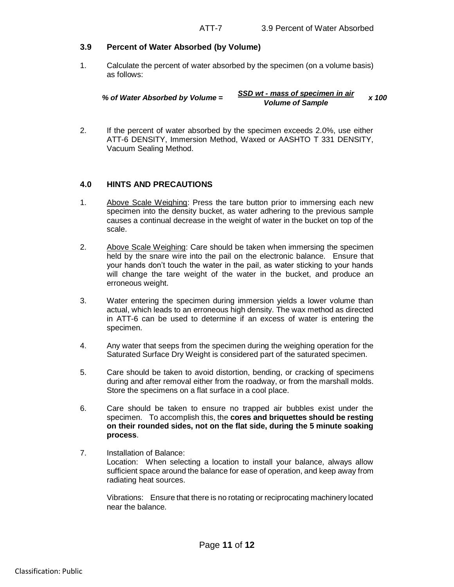#### **3.9 Percent of Water Absorbed (by Volume)**

1. Calculate the percent of water absorbed by the specimen (on a volume basis) as follows:

| % of Water Absorbed by Volume = | SSD wt - mass of specimen in air | x 100 |
|---------------------------------|----------------------------------|-------|
|                                 | <b>Volume of Sample</b>          |       |

2. If the percent of water absorbed by the specimen exceeds 2.0%, use either ATT-6 DENSITY, Immersion Method, Waxed or AASHTO T 331 DENSITY, Vacuum Sealing Method.

#### **4.0 HINTS AND PRECAUTIONS**

- 1. Above Scale Weighing: Press the tare button prior to immersing each new specimen into the density bucket, as water adhering to the previous sample causes a continual decrease in the weight of water in the bucket on top of the scale.
- 2. Above Scale Weighing: Care should be taken when immersing the specimen held by the snare wire into the pail on the electronic balance. Ensure that your hands don't touch the water in the pail, as water sticking to your hands will change the tare weight of the water in the bucket, and produce an erroneous weight.
- 3. Water entering the specimen during immersion yields a lower volume than actual, which leads to an erroneous high density. The wax method as directed in ATT-6 can be used to determine if an excess of water is entering the specimen.
- 4. Any water that seeps from the specimen during the weighing operation for the Saturated Surface Dry Weight is considered part of the saturated specimen.
- 5. Care should be taken to avoid distortion, bending, or cracking of specimens during and after removal either from the roadway, or from the marshall molds. Store the specimens on a flat surface in a cool place.
- 6. Care should be taken to ensure no trapped air bubbles exist under the specimen. To accomplish this, the **cores and briquettes should be resting on their rounded sides, not on the flat side, during the 5 minute soaking process**.
- 7. Installation of Balance: Location: When selecting a location to install your balance, always allow sufficient space around the balance for ease of operation, and keep away from radiating heat sources.

Vibrations: Ensure that there is no rotating or reciprocating machinery located near the balance.